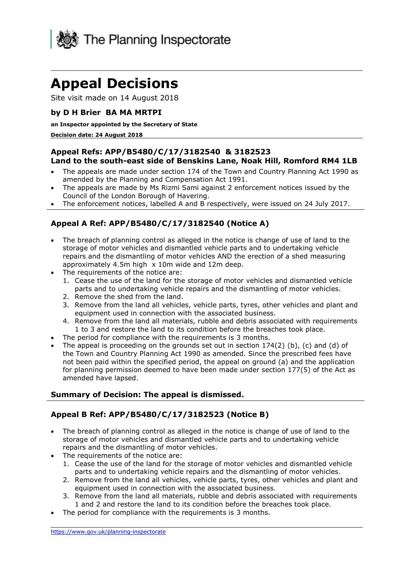

# **Appeal Decisions**

Site visit made on 14 August 2018

#### **by D H Brier BA MA MRTPI**

#### **an Inspector appointed by the Secretary of State**

#### **Decision date: 24 August 2018**

#### **Appeal Refs: APP/B5480/C/17/3182540 & 3182523 Land to the south-east side of Benskins Lane, Noak Hill, Romford RM4 1LB**

- The appeals are made under section 174 of the Town and Country Planning Act 1990 as amended by the Planning and Compensation Act 1991.
- The appeals are made by Ms Rizmi Sami against 2 enforcement notices issued by the Council of the London Borough of Havering.
- The enforcement notices, labelled A and B respectively, were issued on 24 July 2017.

#### **Appeal A Ref: APP/B5480/C/17/3182540 (Notice A)**

- The breach of planning control as alleged in the notice is change of use of land to the storage of motor vehicles and dismantled vehicle parts and to undertaking vehicle approximately 4.5m high x 10m wide and 12m deep. repairs and the dismantling of motor vehicles AND the erection of a shed measuring
- The requirements of the notice are:
	- 1. Cease the use of the land for the storage of motor vehicles and dismantled vehicle parts and to undertaking vehicle repairs and the dismantling of motor vehicles.
	- 2. Remove the shed from the land.
	- 3. Remove from the land all vehicles, vehicle parts, tyres, other vehicles and plant and equipment used in connection with the associated business.
	- 4. Remove from the land all materials, rubble and debris associated with requirements 1 to 3 and restore the land to its condition before the breaches took place.
- The period for compliance with the requirements is 3 months.
- The appeal is proceeding on the grounds set out in section 174(2) (b), (c) and (d) of the Town and Country Planning Act 1990 as amended. Since the prescribed fees have not been paid within the specified period, the appeal on ground (a) and the application for planning permission deemed to have been made under section 177(5) of the Act as amended have lapsed.

#### **Summary of Decision: The appeal is dismissed.**

#### **Appeal B Ref: APP/B5480/C/17/3182523 (Notice B)**

- The breach of planning control as alleged in the notice is change of use of land to the storage of motor vehicles and dismantled vehicle parts and to undertaking vehicle repairs and the dismantling of motor vehicles.
- The requirements of the notice are:
	- parts and to undertaking vehicle repairs and the dismantling of motor vehicles. 1. Cease the use of the land for the storage of motor vehicles and dismantled vehicle
	- 2. Remove from the land all vehicles, vehicle parts, tyres, other vehicles and plant and equipment used in connection with the associated business.
	- 3. Remove from the land all materials, rubble and debris associated with requirements 1 and 2 and restore the land to its condition before the breaches took place.
- The period for compliance with the requirements is 3 months.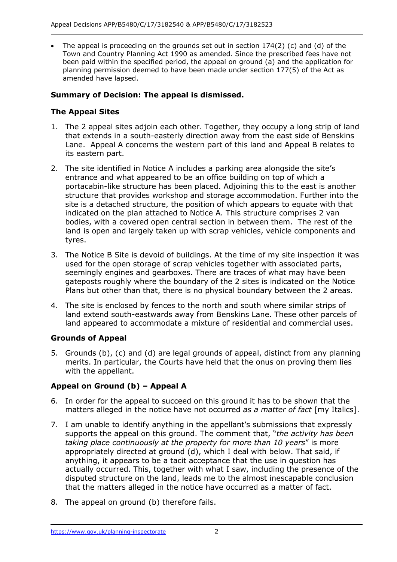The appeal is proceeding on the grounds set out in section  $174(2)$  (c) and (d) of the Town and Country Planning Act 1990 as amended. Since the prescribed fees have not been paid within the specified period, the appeal on ground (a) and the application for planning permission deemed to have been made under section 177(5) of the Act as amended have lapsed.

#### **Summary of Decision: The appeal is dismissed.**

### **The Appeal Sites**

- 1. The 2 appeal sites adjoin each other. Together, they occupy a long strip of land that extends in a south-easterly direction away from the east side of Benskins Lane. Appeal A concerns the western part of this land and Appeal B relates to its eastern part.
- 2. The site identified in Notice A includes a parking area alongside the site's entrance and what appeared to be an office building on top of which a portacabin-like structure has been placed. Adjoining this to the east is another structure that provides workshop and storage accommodation. Further into the site is a detached structure, the position of which appears to equate with that bodies, with a covered open central section in between them. The rest of the land is open and largely taken up with scrap vehicles, vehicle components and indicated on the plan attached to Notice A. This structure comprises 2 van tyres.
- 3. The Notice B Site is devoid of buildings. At the time of my site inspection it was used for the open storage of scrap vehicles together with associated parts, gateposts roughly where the boundary of the 2 sites is indicated on the Notice Plans but other than that, there is no physical boundary between the 2 areas. seemingly engines and gearboxes. There are traces of what may have been
- 4. The site is enclosed by fences to the north and south where similar strips of land extend south-eastwards away from Benskins Lane. These other parcels of land appeared to accommodate a mixture of residential and commercial uses.

# **Grounds of Appeal**

 5. Grounds (b), (c) and (d) are legal grounds of appeal, distinct from any planning merits. In particular, the Courts have held that the onus on proving them lies with the appellant.

# **Appeal on Ground (b) – Appeal A**

- 6. In order for the appeal to succeed on this ground it has to be shown that the matters alleged in the notice have not occurred *as a matter of fact* [my Italics].
- 7. I am unable to identify anything in the appellant's submissions that expressly supports the appeal on this ground. The comment that, "*the activity has been*  appropriately directed at ground (d), which I deal with below. That said, if anything, it appears to be a tacit acceptance that the use in question has actually occurred. This, together with what I saw, including the presence of the disputed structure on the land, leads me to the almost inescapable conclusion *taking place continuously at the property for more than 10 years*" is more that the matters alleged in the notice have occurred as a matter of fact.
- 8. The appeal on ground (b) therefore fails.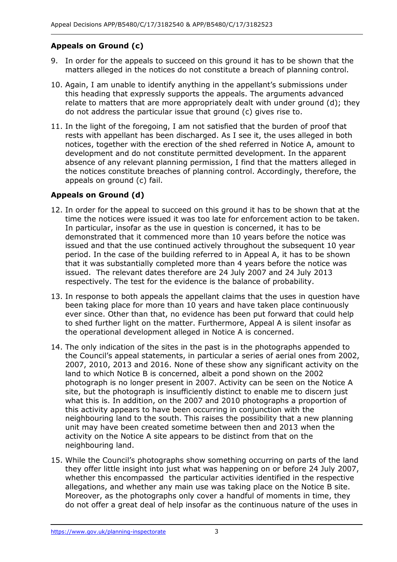# **Appeals on Ground (c)**

- 9. In order for the appeals to succeed on this ground it has to be shown that the matters alleged in the notices do not constitute a breach of planning control.
- 10. Again, I am unable to identify anything in the appellant's submissions under this heading that expressly supports the appeals. The arguments advanced relate to matters that are more appropriately dealt with under ground (d); they do not address the particular issue that ground (c) gives rise to.
- 11. In the light of the foregoing, I am not satisfied that the burden of proof that rests with appellant has been discharged. As I see it, the uses alleged in both development and do not constitute permitted development. In the apparent absence of any relevant planning permission, I find that the matters alleged in the notices constitute breaches of planning control. Accordingly, therefore, the appeals on ground (c) fail. notices, together with the erection of the shed referred in Notice A, amount to

#### **Appeals on Ground (d)**

- 12. In order for the appeal to succeed on this ground it has to be shown that at the time the notices were issued it was too late for enforcement action to be taken. In particular, insofar as the use in question is concerned, it has to be demonstrated that it commenced more than 10 years before the notice was issued and that the use continued actively throughout the subsequent 10 year period. In the case of the building referred to in Appeal A, it has to be shown issued. The relevant dates therefore are 24 July 2007 and 24 July 2013 that it was substantially completed more than 4 years before the notice was respectively. The test for the evidence is the balance of probability.
- 13. In response to both appeals the appellant claims that the uses in question have been taking place for more than 10 years and have taken place continuously ever since. Other than that, no evidence has been put forward that could help to shed further light on the matter. Furthermore, Appeal A is silent insofar as the operational development alleged in Notice A is concerned.
- 14. The only indication of the sites in the past is in the photographs appended to the Council's appeal statements, in particular a series of aerial ones from 2002, 2007, 2010, 2013 and 2016. None of these show any significant activity on the land to which Notice B is concerned, albeit a pond shown on the 2002 photograph is no longer present in 2007. Activity can be seen on the Notice A site, but the photograph is insufficiently distinct to enable me to discern just what this is. In addition, on the 2007 and 2010 photographs a proportion of neighbouring land to the south. This raises the possibility that a new planning unit may have been created sometime between then and 2013 when the activity on the Notice A site appears to be distinct from that on the neighbouring land. this activity appears to have been occurring in conjunction with the
- 15. While the Council's photographs show something occurring on parts of the land they offer little insight into just what was happening on or before 24 July 2007, whether this encompassed the particular activities identified in the respective allegations, and whether any main use was taking place on the Notice B site. Moreover, as the photographs only cover a handful of moments in time, they do not offer a great deal of help insofar as the continuous nature of the uses in